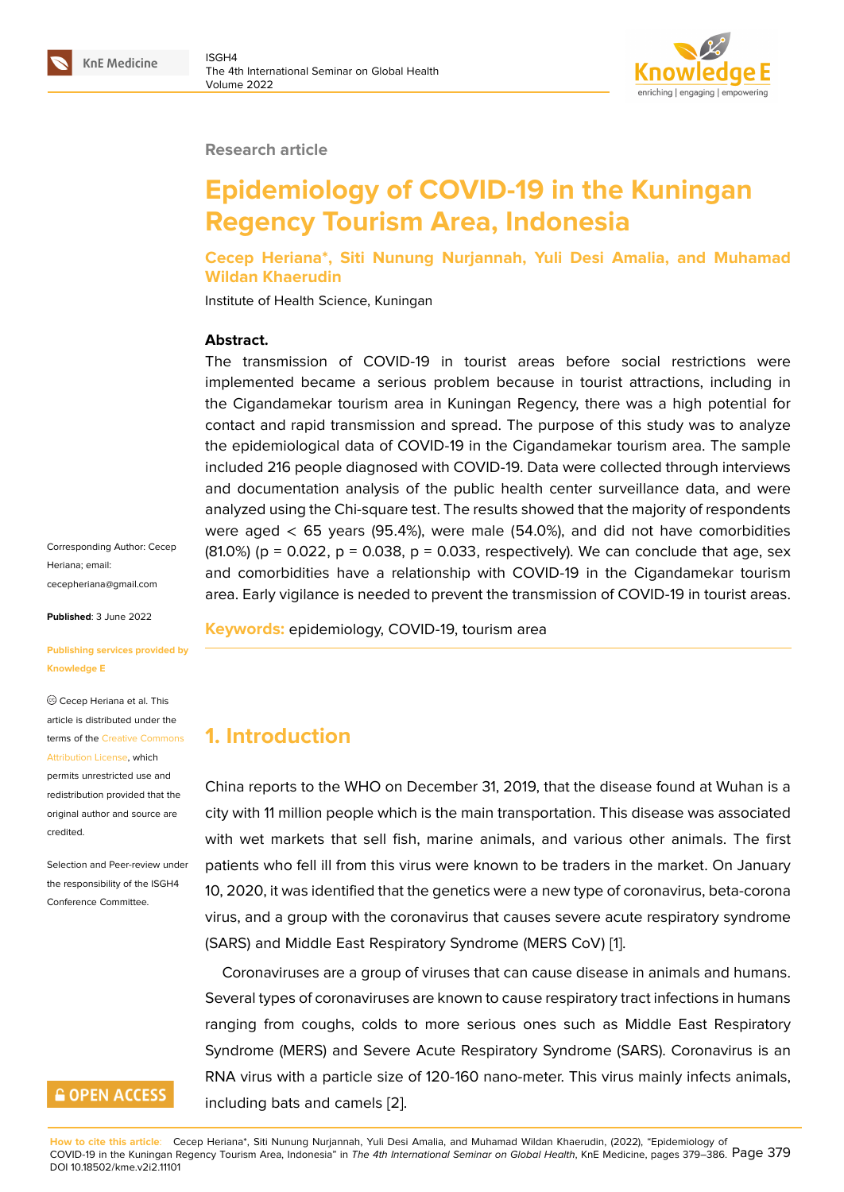#### **Research article**

## **Epidemiology of COVID-19 in the Kuningan Regency Tourism Area, Indonesia**

**Cecep Heriana\*, Siti Nunung Nurjannah, Yuli Desi Amalia, and Muhamad Wildan Khaerudin**

Institute of Health Science, Kuningan

#### **Abstract.**

The transmission of COVID-19 in tourist areas before social restrictions were implemented became a serious problem because in tourist attractions, including in the Cigandamekar tourism area in Kuningan Regency, there was a high potential for contact and rapid transmission and spread. The purpose of this study was to analyze the epidemiological data of COVID-19 in the Cigandamekar tourism area. The sample included 216 people diagnosed with COVID-19. Data were collected through interviews and documentation analysis of the public health center surveillance data, and were analyzed using the Chi-square test. The results showed that the majority of respondents were aged  $<$  65 years (95.4%), were male (54.0%), and did not have comorbidities  $(81.0\%)$  (p = 0.022, p = 0.038, p = 0.033, respectively). We can conclude that age, sex and comorbidities have a relationship with COVID-19 in the Cigandamekar tourism area. Early vigilance is needed to prevent the transmission of COVID-19 in tourist areas.

**Published**: 3 June 2022

cecepheriana@gmail.com

Corresponding Author: Cecep

Heriana; email:

**[Publishing services provi](mailto:cecepheriana@gmail.com)ded by Knowledge E**

Cecep Heriana et al. This article is distributed under the terms of the Creative Commons Attribution License, which

permits unrestricted use and redistribution provided that the original auth[or and source are](https://creativecommons.org/licenses/by/4.0/) [credited.](https://creativecommons.org/licenses/by/4.0/)

Selection and Peer-review under the responsibility of the ISGH4 Conference Committee.

## **GOPEN ACCESS**

**Keywords:** epidemiology, COVID-19, tourism area

#### **1. Introduction**

China reports to the WHO on December 31, 2019, that the disease found at Wuhan is a city with 11 million people which is the main transportation. This disease was associated with wet markets that sell fish, marine animals, and various other animals. The first patients who fell ill from this virus were known to be traders in the market. On January 10, 2020, it was identified that the genetics were a new type of coronavirus, beta-corona virus, and a group with the coronavirus that causes severe acute respiratory syndrome (SARS) and Middle East Respiratory Syndrome (MERS CoV) [1].

Coronaviruses are a group of viruses that can cause disease in animals and humans. Several types of coronaviruses are known to cause respiratory tract infections in humans ranging from coughs, colds to more serious ones such a[s](#page-6-0) Middle East Respiratory Syndrome (MERS) and Severe Acute Respiratory Syndrome (SARS). Coronavirus is an RNA virus with a particle size of 120-160 nano-meter. This virus mainly infects animals, including bats and camels [2].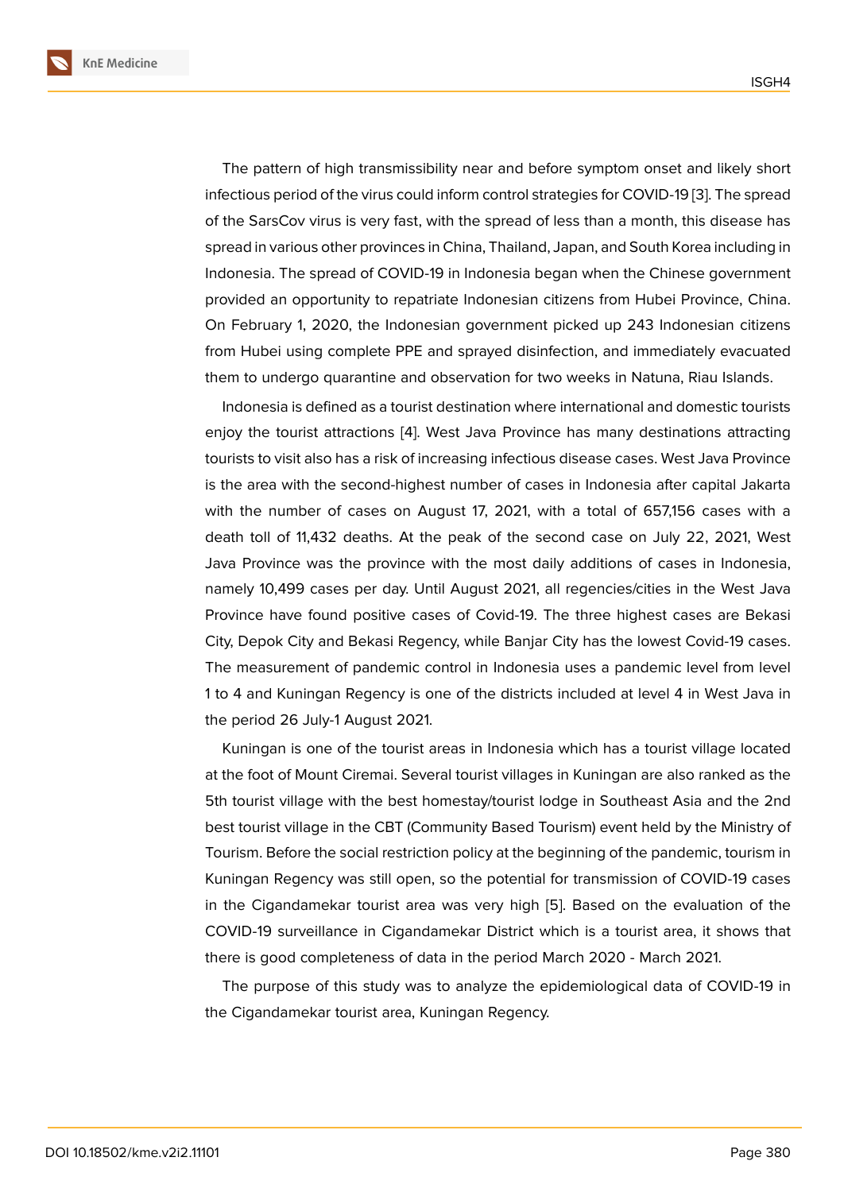The pattern of high transmissibility near and before symptom onset and likely short infectious period of the virus could inform control strategies for COVID-19 [3]. The spread of the SarsCov virus is very fast, with the spread of less than a month, this disease has spread in various other provinces in China, Thailand, Japan, and South Korea including in Indonesia. The spread of COVID-19 in Indonesia began when the Chine[se](#page-7-0) government provided an opportunity to repatriate Indonesian citizens from Hubei Province, China. On February 1, 2020, the Indonesian government picked up 243 Indonesian citizens from Hubei using complete PPE and sprayed disinfection, and immediately evacuated them to undergo quarantine and observation for two weeks in Natuna, Riau Islands.

Indonesia is defined as a tourist destination where international and domestic tourists enjoy the tourist attractions [4]. West Java Province has many destinations attracting tourists to visit also has a risk of increasing infectious disease cases. West Java Province is the area with the second-highest number of cases in Indonesia after capital Jakarta with the number of cases o[n](#page-7-1) August 17, 2021, with a total of 657,156 cases with a death toll of 11,432 deaths. At the peak of the second case on July 22, 2021, West Java Province was the province with the most daily additions of cases in Indonesia, namely 10,499 cases per day. Until August 2021, all regencies/cities in the West Java Province have found positive cases of Covid-19. The three highest cases are Bekasi City, Depok City and Bekasi Regency, while Banjar City has the lowest Covid-19 cases. The measurement of pandemic control in Indonesia uses a pandemic level from level 1 to 4 and Kuningan Regency is one of the districts included at level 4 in West Java in the period 26 July-1 August 2021.

Kuningan is one of the tourist areas in Indonesia which has a tourist village located at the foot of Mount Ciremai. Several tourist villages in Kuningan are also ranked as the 5th tourist village with the best homestay/tourist lodge in Southeast Asia and the 2nd best tourist village in the CBT (Community Based Tourism) event held by the Ministry of Tourism. Before the social restriction policy at the beginning of the pandemic, tourism in Kuningan Regency was still open, so the potential for transmission of COVID-19 cases in the Cigandamekar tourist area was very high [5]. Based on the evaluation of the COVID-19 surveillance in Cigandamekar District which is a tourist area, it shows that there is good completeness of data in the period March 2020 - March 2021.

The purpose of this study was to analyze the e[pi](#page-7-2)demiological data of COVID-19 in the Cigandamekar tourist area, Kuningan Regency.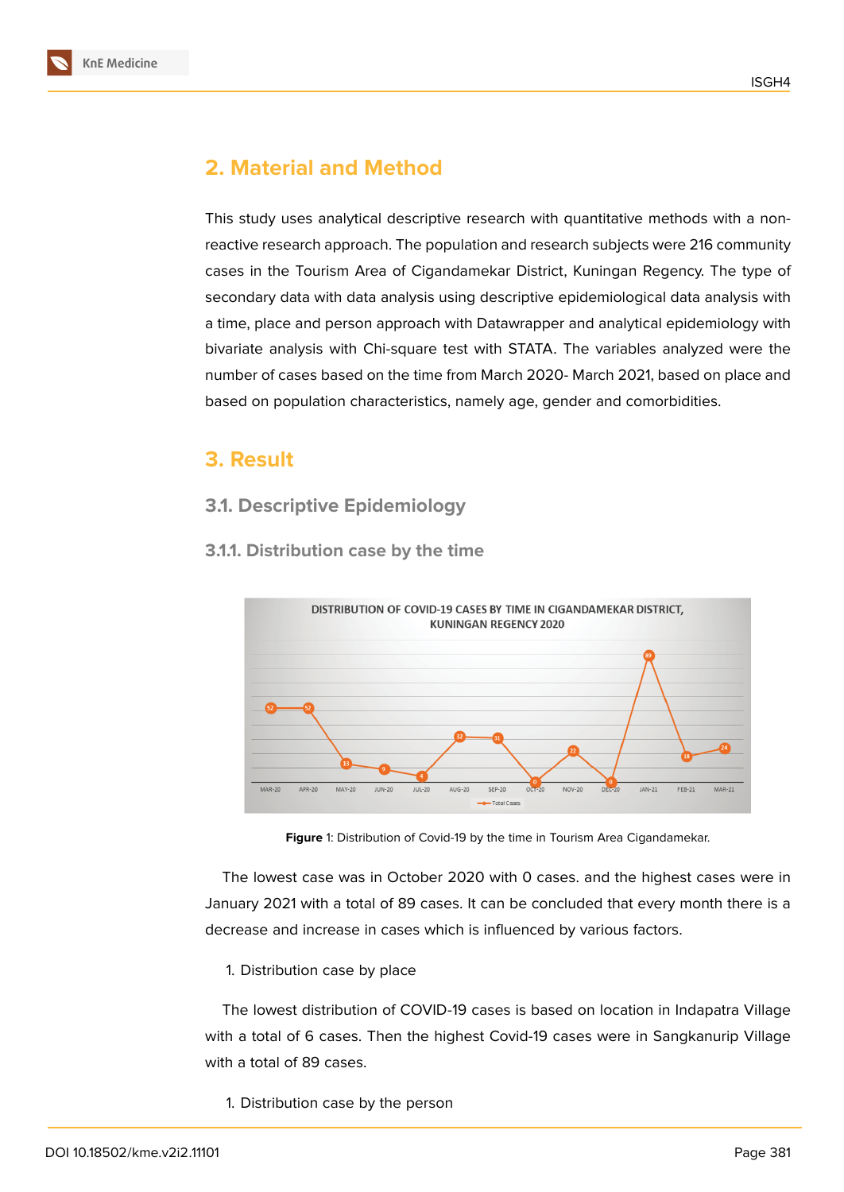

# **2. Material and Method**

This study uses analytical descriptive research with quantitative methods with a nonreactive research approach. The population and research subjects were 216 community cases in the Tourism Area of Cigandamekar District, Kuningan Regency. The type of secondary data with data analysis using descriptive epidemiological data analysis with a time, place and person approach with Datawrapper and analytical epidemiology with bivariate analysis with Chi-square test with STATA. The variables analyzed were the number of cases based on the time from March 2020- March 2021, based on place and based on population characteristics, namely age, gender and comorbidities.

## **3. Result**

#### **3.1. Descriptive Epidemiology**



#### **3.1.1. Distribution case by the time**

**Figure** 1: Distribution of Covid-19 by the time in Tourism Area Cigandamekar.

The lowest case was in October 2020 with 0 cases. and the highest cases were in January 2021 with a total of 89 cases. It can be concluded that every month there is a decrease and increase in cases which is influenced by various factors.

1. Distribution case by place

The lowest distribution of COVID-19 cases is based on location in Indapatra Village with a total of 6 cases. Then the highest Covid-19 cases were in Sangkanurip Village with a total of 89 cases.

1. Distribution case by the person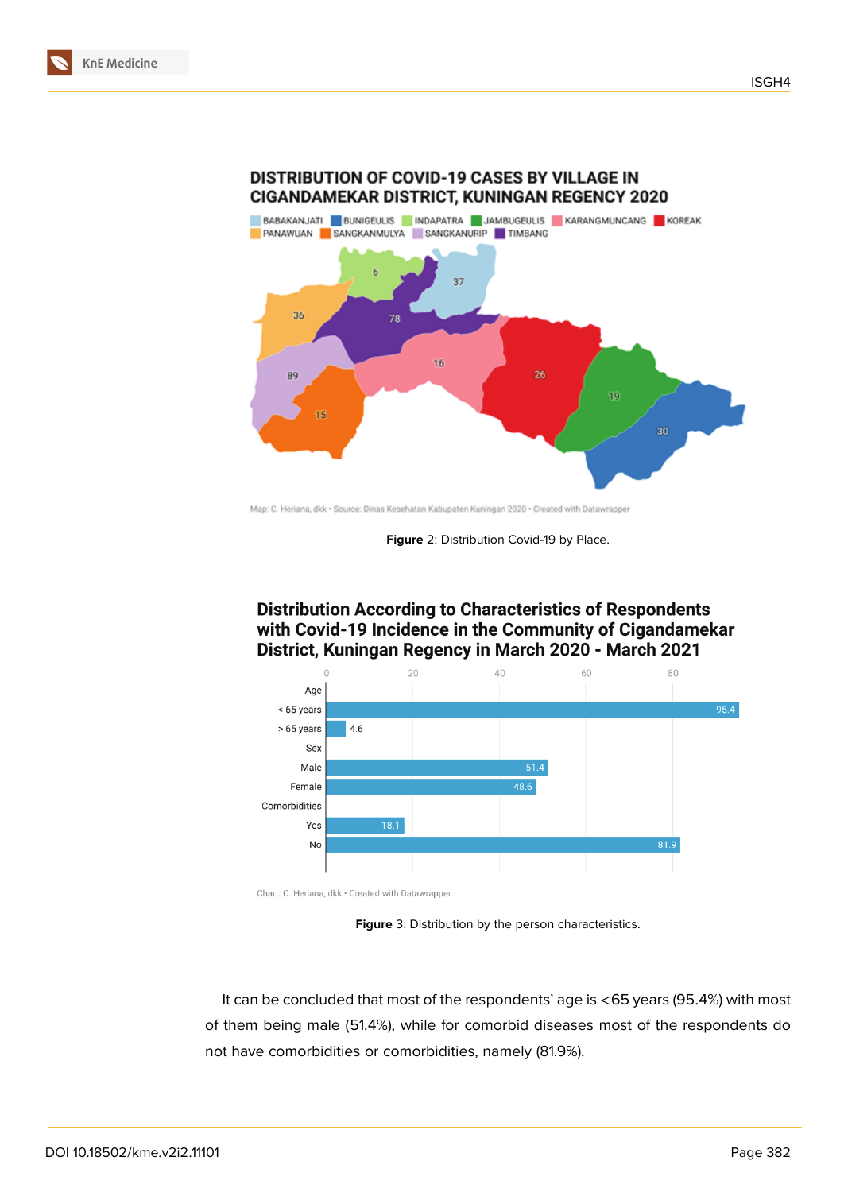

DISTRIBUTION OF COVID-19 CASES BY VILLAGE IN

Map: C. Heriana, dkk · Source: Dinas Kesehatan Kabupaten Kuningan 2020 · Created with Datawrapper

**Figure** 2: Distribution Covid-19 by Place.

#### **Distribution According to Characteristics of Respondents** with Covid-19 Incidence in the Community of Cigandamekar District, Kuningan Regency in March 2020 - March 2021



Chart: C. Heriana, dkk · Created with Datawrapper

**Figure** 3: Distribution by the person characteristics.

It can be concluded that most of the respondents' age is <65 years (95.4%) with most of them being male (51.4%), while for comorbid diseases most of the respondents do not have comorbidities or comorbidities, namely (81.9%).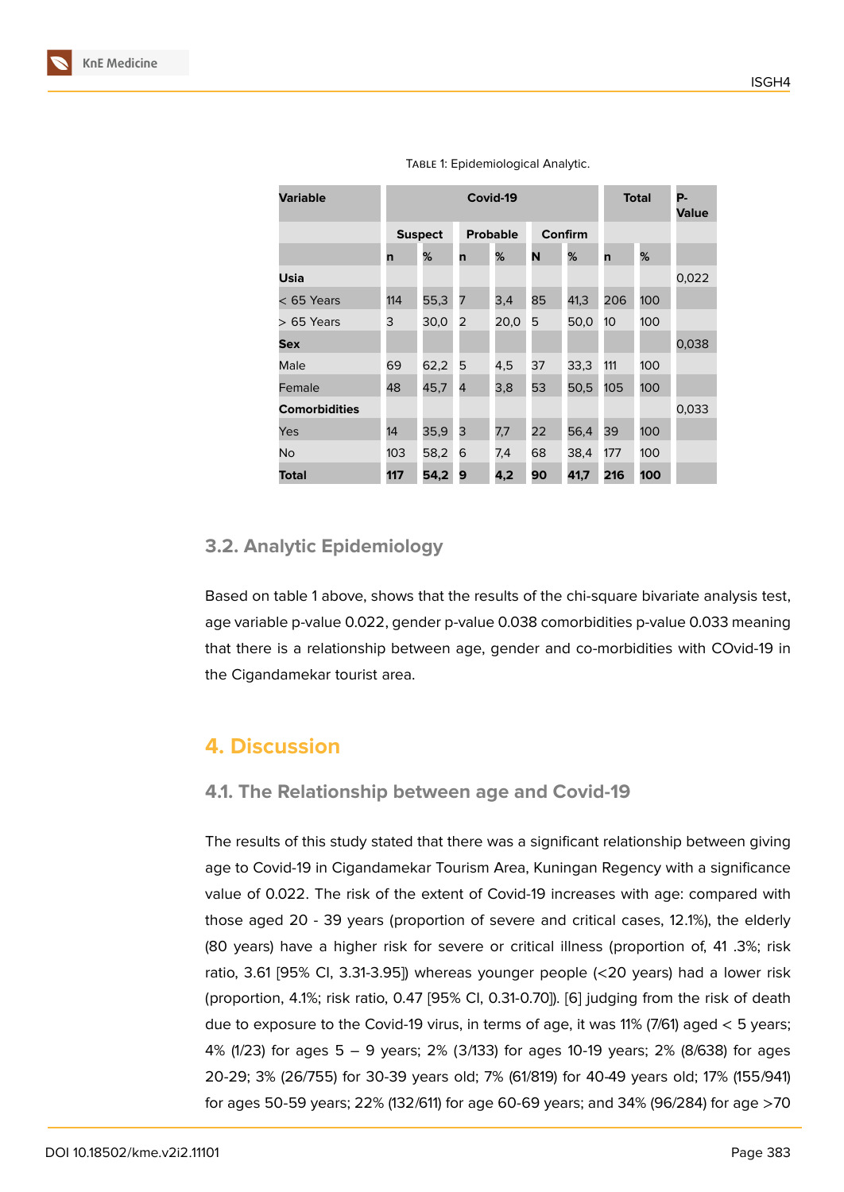| <b>Variable</b>      |     | Covid-19       |                |                 |    |         |     | <b>Total</b> |       |
|----------------------|-----|----------------|----------------|-----------------|----|---------|-----|--------------|-------|
|                      |     | <b>Suspect</b> |                | <b>Probable</b> |    | Confirm |     |              |       |
|                      | n   | %              | n              | %               | N  | %       | n   | %            |       |
| Usia                 |     |                |                |                 |    |         |     |              | 0,022 |
| $<$ 65 Years         | 114 | 55,3           | 7              | 3,4             | 85 | 41,3    | 206 | 100          |       |
| $>65$ Years          | 3   | 30,0           | 2              | 20,0            | 5  | 50,0    | 10  | 100          |       |
| Sex                  |     |                |                |                 |    |         |     |              | 0,038 |
| Male                 | 69  | 62,2           | 5              | 4,5             | 37 | 33,3    | 111 | 100          |       |
| Female               | 48  | 45,7           | $\overline{4}$ | 3,8             | 53 | 50,5    | 105 | 100          |       |
| <b>Comorbidities</b> |     |                |                |                 |    |         |     |              | 0,033 |
| Yes                  | 14  | 35,9           | 3              | 7,7             | 22 | 56,4    | 39  | 100          |       |
| No                   | 103 | 58,2           | 6              | 7,4             | 68 | 38,4    | 177 | 100          |       |
| Total                | 117 | 54,2           | 9              | 4,2             | 90 | 41,7    | 216 | 100          |       |

Table 1: Epidemiological Analytic.

#### **3.2. Analytic Epidemiology**

Based on table 1 above, shows that the results of the chi-square bivariate analysis test, age variable p-value 0.022, gender p-value 0.038 comorbidities p-value 0.033 meaning that there is a relationship between age, gender and co-morbidities with COvid-19 in the Cigandamekar tourist area.

#### **4. Discussion**

#### **4.1. The Relationship between age and Covid-19**

The results of this study stated that there was a significant relationship between giving age to Covid-19 in Cigandamekar Tourism Area, Kuningan Regency with a significance value of 0.022. The risk of the extent of Covid-19 increases with age: compared with those aged 20 - 39 years (proportion of severe and critical cases, 12.1%), the elderly (80 years) have a higher risk for severe or critical illness (proportion of, 41 .3%; risk ratio, 3.61 [95% CI, 3.31-3.95]) whereas younger people (<20 years) had a lower risk (proportion, 4.1%; risk ratio, 0.47 [95% CI, 0.31-0.70]). [6] judging from the risk of death due to exposure to the Covid-19 virus, in terms of age, it was 11% (7/61) aged < 5 years; 4% (1/23) for ages 5 – 9 years; 2% (3/133) for ages 10-19 years; 2% (8/638) for ages 20-29; 3% (26/755) for 30-39 years old; 7% (61/819) f[or](#page-7-3) 40-49 years old; 17% (155/941) for ages 50-59 years; 22% (132/611) for age 60-69 years; and 34% (96/284) for age >70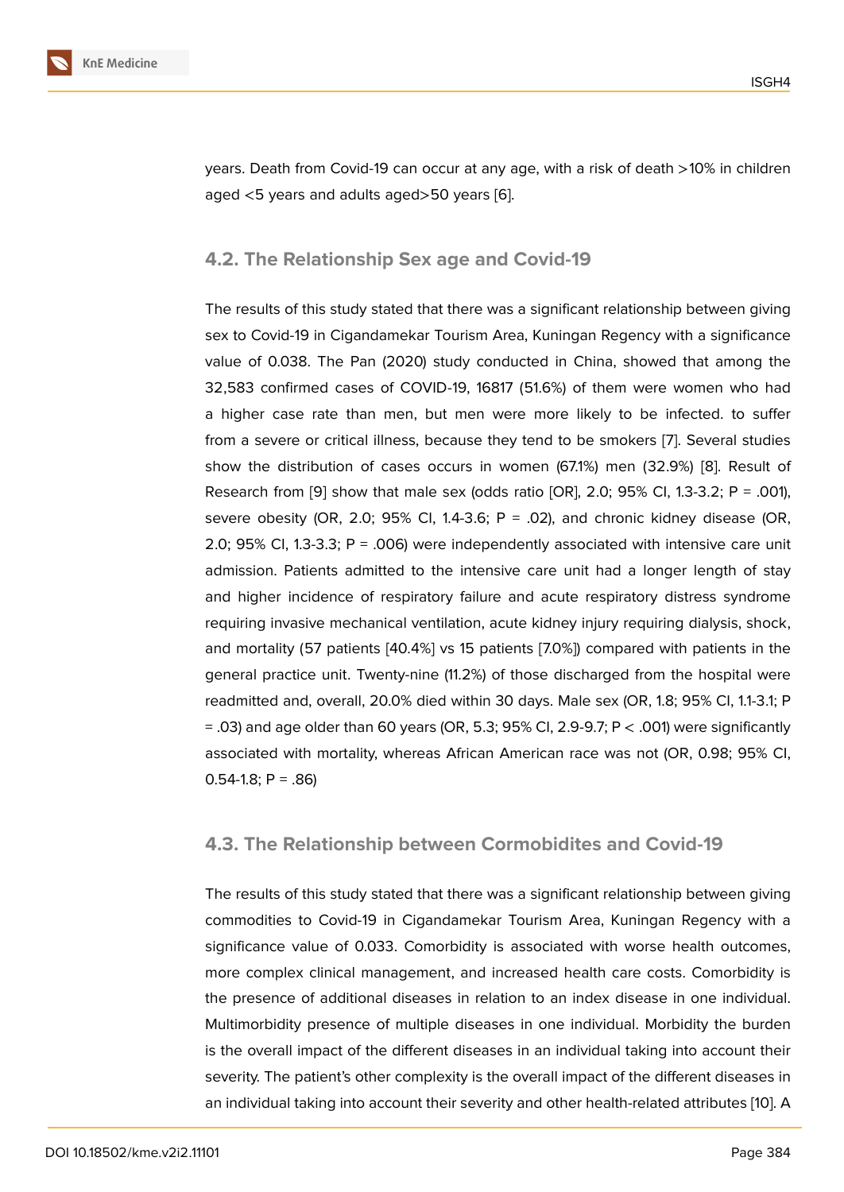years. Death from Covid-19 can occur at any age, with a risk of death >10% in children aged <5 years and adults aged>50 years [6].

#### **4.2. The Relationship Sex age an[d](#page-7-3) Covid-19**

The results of this study stated that there was a significant relationship between giving sex to Covid-19 in Cigandamekar Tourism Area, Kuningan Regency with a significance value of 0.038. The Pan (2020) study conducted in China, showed that among the 32,583 confirmed cases of COVID-19, 16817 (51.6%) of them were women who had a higher case rate than men, but men were more likely to be infected. to suffer from a severe or critical illness, because they tend to be smokers [7]. Several studies show the distribution of cases occurs in women (67.1%) men (32.9%) [8]. Result of Research from [9] show that male sex (odds ratio [OR], 2.0; 95% CI, 1.3-3.2; P = .001), severe obesity (OR, 2.0; 95% CI, 1.4-3.6;  $P = 0.02$ ), and chronic ki[dn](#page-7-4)ey disease (OR, 2.0; 95% CI, 1.3-3.3;  $P = 0.006$ ) were independently associated with inten[siv](#page-7-5)e care unit admission. Pati[en](#page-7-6)ts admitted to the intensive care unit had a longer length of stay and higher incidence of respiratory failure and acute respiratory distress syndrome requiring invasive mechanical ventilation, acute kidney injury requiring dialysis, shock, and mortality (57 patients [40.4%] vs 15 patients [7.0%]) compared with patients in the general practice unit. Twenty-nine (11.2%) of those discharged from the hospital were readmitted and, overall, 20.0% died within 30 days. Male sex (OR, 1.8; 95% CI, 1.1-3.1; P  $=$  .03) and age older than 60 years (OR, 5.3; 95% CI, 2.9-9.7; P  $<$  .001) were significantly associated with mortality, whereas African American race was not (OR, 0.98; 95% CI,  $0.54-1.8$ ; P = .86)

#### **4.3. The Relationship between Cormobidites and Covid-19**

The results of this study stated that there was a significant relationship between giving commodities to Covid-19 in Cigandamekar Tourism Area, Kuningan Regency with a significance value of 0.033. Comorbidity is associated with worse health outcomes, more complex clinical management, and increased health care costs. Comorbidity is the presence of additional diseases in relation to an index disease in one individual. Multimorbidity presence of multiple diseases in one individual. Morbidity the burden is the overall impact of the different diseases in an individual taking into account their severity. The patient's other complexity is the overall impact of the different diseases in an individual taking into account their severity and other health-related attributes [10]. A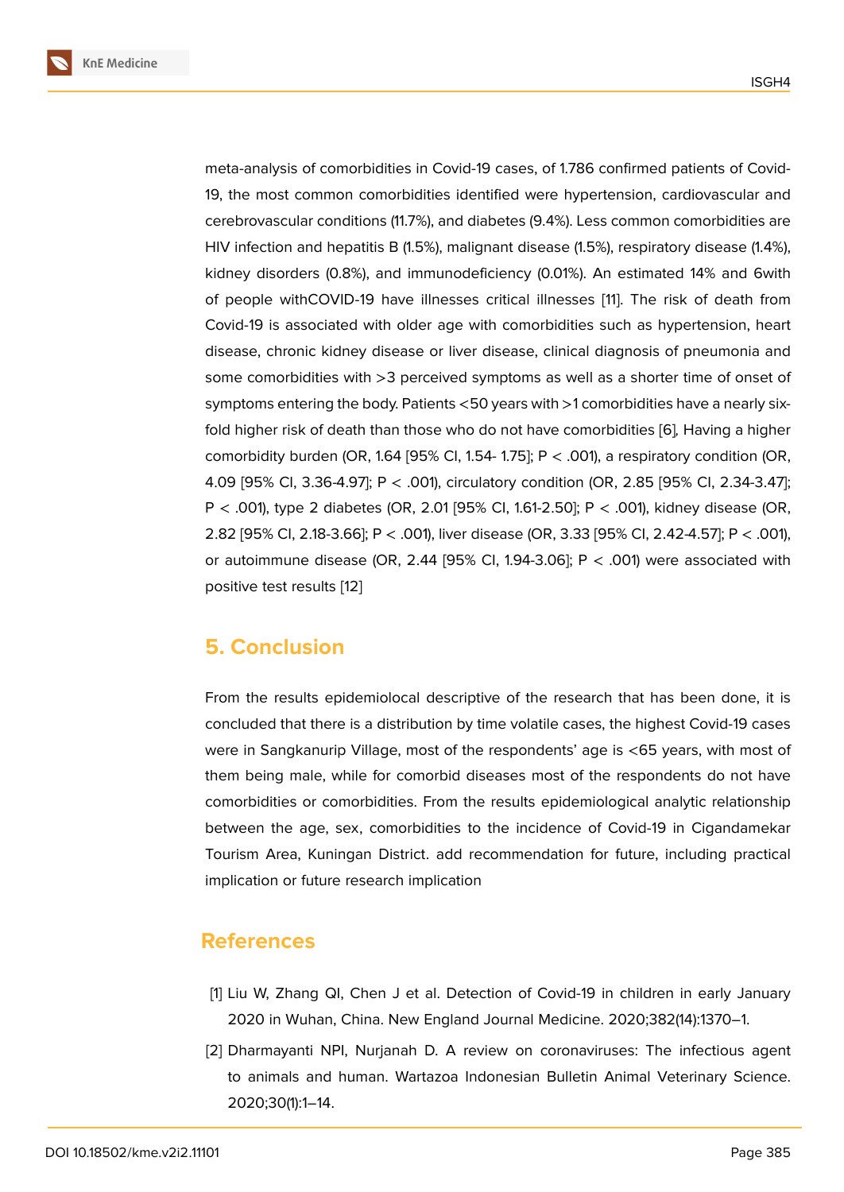meta-analysis of comorbidities in Covid-19 cases, of 1.786 confirmed patients of Covid-19, the most common comorbidities identified were hypertension, cardiovascular and cerebrovascular conditions (11.7%), and diabetes (9.4%). Less common comorbidities are HIV infection and hepatitis B (1.5%), malignant disease (1.5%), respiratory disease (1.4%), kidney disorders (0.8%), and immunodeficiency (0.01%). An estimated 14% and 6with of people withCOVID-19 have illnesses critical illnesses [11]. The risk of death from Covid-19 is associated with older age with comorbidities such as hypertension, heart disease, chronic kidney disease or liver disease, clinical diagnosis of pneumonia and some comorbidities with >3 perceived symptoms as well a[s](#page-7-7) a shorter time of onset of symptoms entering the body. Patients <50 years with >1 comorbidities have a nearly sixfold higher risk of death than those who do not have comorbidities [6]*,* Having a higher comorbidity burden (OR, 1.64 [95% Cl, 1.54- 1.75];  $P < .001$ ), a respiratory condition (OR, 4.09 [95% CI, 3.36-4.97]; P < .001), circulatory condition (OR, 2.85 [95% CI, 2.34-3.47]; P < .001), type 2 diabetes (OR, 2.01 [95% CI, 1.61-2.50]; P < .001), k[id](#page-7-3)ney disease (OR, 2.82 [95% CI, 2.18-3.66]; P < .001), liver disease (OR, 3.33 [95% CI, 2.42-4.57]; P < .001), or autoimmune disease (OR, 2.44 [95% CI, 1.94-3.06]; P  $<$  .001) were associated with positive test results [12]

#### **5. Conclusio[n](#page-7-8)**

From the results epidemiolocal descriptive of the research that has been done, it is concluded that there is a distribution by time volatile cases, the highest Covid-19 cases were in Sangkanurip Village, most of the respondents' age is <65 years, with most of them being male, while for comorbid diseases most of the respondents do not have comorbidities or comorbidities. From the results epidemiological analytic relationship between the age, sex, comorbidities to the incidence of Covid-19 in Cigandamekar Tourism Area, Kuningan District. add recommendation for future, including practical implication or future research implication

#### **References**

- [1] Liu W, Zhang QI, Chen J et al. Detection of Covid-19 in children in early January 2020 in Wuhan, China. New England Journal Medicine. 2020;382(14):1370–1.
- <span id="page-6-0"></span>[2] Dharmayanti NPI, Nurjanah D. A review on coronaviruses: The infectious agent to animals and human. Wartazoa Indonesian Bulletin Animal Veterinary Science. 2020;30(1):1–14.